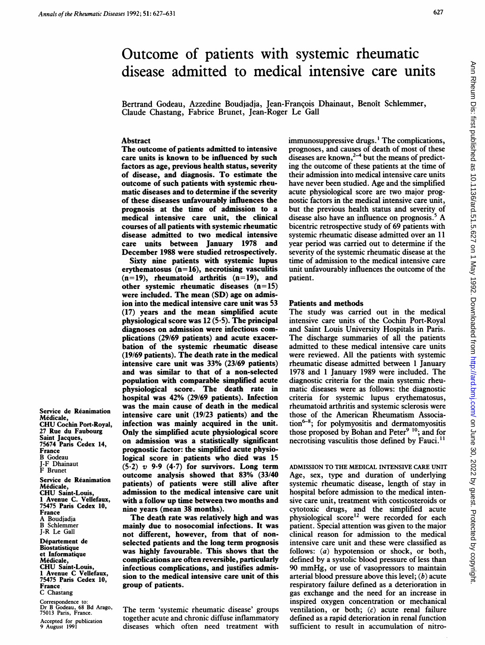# Outcome of patients with systemic rheumatic disease admitted to medical intensive care units

Bertrand Godeau, Azzedine Boudjadja, Jean-Francois Dhainaut, Benoit Schlemmer, Claude Chastang, Fabrice Brunet, Jean-Roger Le Gall

## **Abstract**

The outcome of patients admitted to intensive care units is known to be influenced by such factors as age, previous health status, severity of disease, and diagnosis. To estimate the outcome of such patients with systemic rheumatic diseases and to determine if the severity of these diseases unfavourably influences the prognosis at the time of admission to a medical intensive care unit, the clinical courses of all patients with systemic rheumatic disease admitted to two medical intensive care units between January 1978 and December 1988 were studied retrospectively.

Sixty nine patients with systemic lupus erythematosus  $(n=16)$ , necrotising vasculitis  $(n= 19)$ , rheumatoid arthritis  $(n= 19)$ , and other systemic rheumatic diseases  $(n=15)$ were included. The mean (SD) age on admision into the medical intensive care unit was 53 (17) years and the mean simplified acute physiological score was  $12(5.5)$ . The principal diagnoses on admission were infectious complications (29/69 patients) and acute exacerbation of the systemic rheumatic disease (19/69 patients). The death rate in the medical intensive care unit was 33% (23/69 patients) and was similar to that of a non-selected population with comparable simplified acute physiological score. The death rate in hospital was 42% (29/69 patients). Infection was the main cause of death in the medical intensive care unit (19/23 patients) and the infection was mainly acquired in the unit. Only the simplified acute physiological score on admission was a statistically significant prognostic factor: the simplified acute physiological score in patients who died was 15  $(5.2)$  v 9.9  $(4.7)$  for survivors. Long term outcome analysis showed that 83% (33/40 patients) of patients were still alive after admission to the medical intensive care unit with a follow up time between two months and nine years (mean 38 months).

The death rate was relatively high and was mainly due to nosocomial infections. It was not different, however, from that of nonselected patients and the long term prognosis was highly favourable. This shows that the complications are often reversible, particularly infectious complications, and justifies admission to the medical intensive care unit of this group of patients.

The term 'systemic rheumatic disease' groups together acute and chronic diffuse inflammatory diseases which often need treatment with immunosuppressive drugs.' The complications, prognoses, and causes of death of most of these diseases are known,  $2-4$  but the means of predicting the outcome of these patients at the time of their admission into medical intensive care units have never been studied. Age and the simplified acute physiological score are two major prognostic factors in the medical intensive care unit, but the previous health status and severity of disease also have an influence on prognosis. $5 A$ bicentric retrospective study of 69 patients with systemic rheumatic disease admitted over an 11 year period was carried out to determine if the severity of the systemic rheumatic disease at the time of admission to the medical intensive care unit unfavourably influences the outcome of the patient.

### Patients and methods

The study was carried out in the medical intensive care units of the Cochin Port-Royal and Saint Louis University Hospitals in Paris. The discharge summaries of all the patients admitted to these medical intensive care units were reviewed. All the patients with systemic rheumatic disease admitted between <sup>1</sup> January 1978 and <sup>1</sup> January 1989 were included. The diagnostic criteria for the main systemic rheumatic diseases were as follows: the diagnostic criteria for systemic lupus erythematosus, rheumatoid arthritis and systemic sclerosis were those of the American Rheumatism Associa- $\text{tion}^{6-8}$ ; for polymyositis and dermatomyositis those proposed by Bohan and Peter<sup>9 10</sup>; and for necrotising vasculitis those defined by Fauci.<sup>11</sup>

ADMISSION TO THE MEDICAL INTENSIVE CARE UNIT Age, sex, type and duration of underlying systemic rheumatic disease, length of stay in hospital before admission to the medical intensive care unit, treatment with costicosteroids or cytotoxic drugs, and the simplified acute physiological score<sup>12</sup> were recorded for each patient. Special attention was given to the major clinical reason for admission to the medical intensive care unit and these were classified as follows: (a) hypotension or shock, or both, defined by a systolic blood pressure of less than 90 mmHg, or use of vasopressors to maintain arterial blood pressure above this level;  $(b)$  acute respiratory failure defined as a deterioration in gas exchange and the need for an increase in inspired oxygen concentration or mechanical ventilation, or both;  $(c)$  acute renal failure defined as a rapid deterioration in renal function sufficient to result in accumulation of nitro-

Service de Reanimation Médicale. CHU Cochin Port-Royal, 27 Rue du Faubourg Saint Jacques, 75674 Paris Cedex 14, France B Godeau J-F Dhainaut F Brunet

Service de Reanimation Medicale, CHU Saint-Louis, <sup>1</sup> Avenue C. Vellefaux, 75475 Paris Cedex 10, France A Boudjadja B Schlemmer J-R Le Gall

Département de Biostatistique et Informatique Medicale, CHU Saint-Louis, <sup>1</sup> Avenue C Vellefaux, 75475 Paris Cedex 10, France C Chastang

Correspondence to: Dr B Godeau, 68 Bd Arago, 75013 Paris, France. Accepted for publication 9 August 1991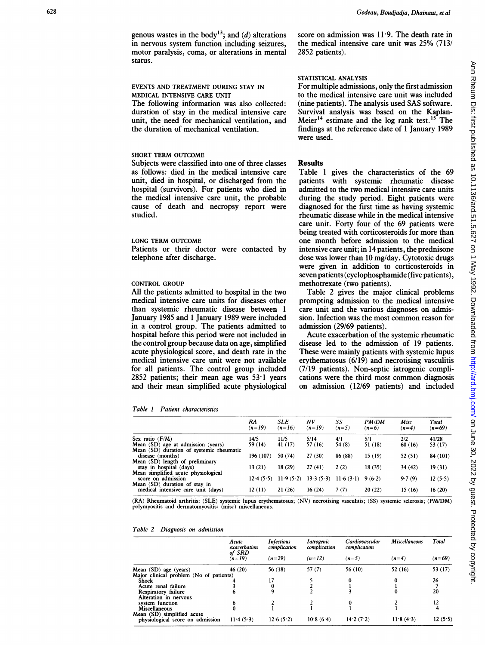genous wastes in the body<sup>13</sup>; and (d) alterations in nervous system function including seizures, motor paralysis, coma, or alterations in mental status.

# EVENTS AND TREATMENT DURING STAY IN MEDICAL INTENSIVE CARE UNIT

The following information was also collected: duration of stay in the medical intensive care unit, the need for mechanical ventilation, and the duration of mechanical ventilation.

# SHORT TERM OUTCOME

Subjects were classified into one of three classes as follows: died in the medical intensive care unit, died in hospital, or discharged from the hospital (survivors). For patients who died in the medical intensive care unit, the probable cause of death and necropsy report were studied.

#### LONG TERM OUTCOME

Patients or their doctor were contacted by telephone after discharge.

## CONTROL GROUP

All the patients admitted to hospital in the two medical intensive care units for diseases other than systemic rheumatic disease between 1 January 1985 and <sup>1</sup> January 1989 were included in a control group. The patients admitted to hospital before this period were not included in the control group because data on age, simplified acute physiological score, and death rate in the medical intensive care unit were not available for all patients. The control group included 2852 patients; their mean age was 53-1 years and their mean simplified acute physiological

Table 1 Patient characteristics

|                                                                     | RA<br>$(n=19)$ | SLE<br>$(n=16)$ | NV<br>$(n=19)$ | SS<br>$(n=5)$ | <b>PM/DM</b><br>$(n=6)$ | Misc<br>$(n=4)$ | Total<br>$(n=69)$ |
|---------------------------------------------------------------------|----------------|-----------------|----------------|---------------|-------------------------|-----------------|-------------------|
| Sex ratio $(F/M)$                                                   | 14/5           | 11/5            | 5/14           | 4/1           | 5/1                     | 2/2             | 41/28             |
| Mean (SD) age at admission (years)                                  | 59 (14)        | 41 (17)         | 57 (16)        | 54 $(8)$      | 51 (18)                 | 60(16)          | 53 (17)           |
| Mean (SD) duration of systemic rheumatic                            |                |                 |                |               |                         |                 |                   |
| disease (months)                                                    | 196 (107)      | 50 (74)         | 27(30)         | 86 (88)       | 15(19)                  | 52 (51)         | 84 (101)          |
| Mean (SD) length of preliminary                                     |                |                 |                |               |                         |                 |                   |
| stay in hospital (days)                                             | 13 (21)        | 18(29)          | 27(41)         | 2(2)          | 18(35)                  | 34(42)          | 19(31)            |
| Mean simplified acute physiological                                 |                |                 |                |               |                         |                 |                   |
| score on admission                                                  | 12.4(5.5)      | 11.9(5.2)       | 13.3(5.3)      | 11.6(3.1)     | 9(6.2)                  | 9.7(9)          | 12(5.5)           |
| Mean (SD) duration of stay in<br>medical intensive care unit (days) | 12(11)         | 21(26)          | 16(24)         | 7(7)          | 20(22)                  | 15 (16)         | 16(20)            |

(RA) Rheumatoid arthritis: (SLE) systemic lupus erythematosus; (NV) necrotising vasculitis; (SS) systemic sclerosis; (PM/DM) polymyositis and dermatomyositis; (misc) miscellaneous.

| Table 2 |  | Diagnosis on admission |
|---------|--|------------------------|

|                                                                | Acute<br>exacerbation<br>of SRD | <b>Infectious</b><br>complication | <i>I</i> atrogenic<br>complication | Cardiovascular<br>complication | <b>Miscellaneous</b><br>$(n=4)$ | Total<br>$(n=69)$ |
|----------------------------------------------------------------|---------------------------------|-----------------------------------|------------------------------------|--------------------------------|---------------------------------|-------------------|
|                                                                | $(n=19)$                        | $(n=29)$                          | $(n=12)$                           | $(n=5)$                        |                                 |                   |
| Mean (SD) age (years)                                          | 46 $(20)$                       | 56 (18)                           | 57(7)                              | 56 (10)                        | 52 (16)                         | 53 (17)           |
| Major clinical problem (No of patients)                        |                                 |                                   |                                    |                                |                                 |                   |
| <b>Shock</b>                                                   |                                 | 17                                |                                    |                                |                                 | 26                |
| Acute renal failure                                            |                                 | 0                                 |                                    |                                |                                 |                   |
| Respiratory failure                                            |                                 | 9                                 |                                    |                                |                                 | 20                |
| Alteration in nervous                                          |                                 |                                   |                                    |                                |                                 |                   |
| system function                                                |                                 |                                   |                                    |                                |                                 | 12                |
| <b>Miscellaneous</b>                                           |                                 |                                   |                                    |                                |                                 |                   |
| Mean (SD) simplified acute<br>physiological score on admission | 11.4(5.3)                       | 12.6(5.2)                         | 10.8(6.4)                          | 14.2(7.2)                      | 11.8(4.3)                       | 12(5.5)           |

score on admission was  $11.9$ . The death rate in the medical intensive care unit was 25% (713/ 2852 patients).

# STATISTICAL ANALYSIS

For multiple admissions, only the first admission to the medical intensive care unit was included (nine patients). The analysis used SAS software. Survival analysis was based on the Kaplan-Meier<sup>14</sup> estimate and the log rank test.<sup>15</sup> The findings at the reference date of <sup>1</sup> January 1989 were used.

# Results

Table <sup>1</sup> gives the characteristics of the 69 patients with systemic rheumatic disease admitted to the two medical intensive care units during the study period. Eight patients were diagnosed for the first time as having systemic rheumatic disease while in the medical intensive care unit. Forty four of the 69 patients were being treated with corticosteroids for more than one month before admission to the medical intensive care unit; in 14 patients, the prednisone dose was lower than 10 mg/day. Cytotoxic drugs were given in addition to corticosteroids in seven patients (cyclophosphamide (five patients), methotrexate (two patients).

Table 2 gives the major clinical problems prompting admission to the medical intensive care unit and the various diagnoses on admission. Infection was the most common reason for admission (29/69 patients).

Acute exacerbation of the systemic rheumatic disease led to the admission of 19 patients. These were mainly patients with systemic lupus erythematosus (6/19) and necrotising vasculitis (7/19 patients). Non-septic iatrogenic complications were the third most common diagnosis on admission (12/69 patients) and included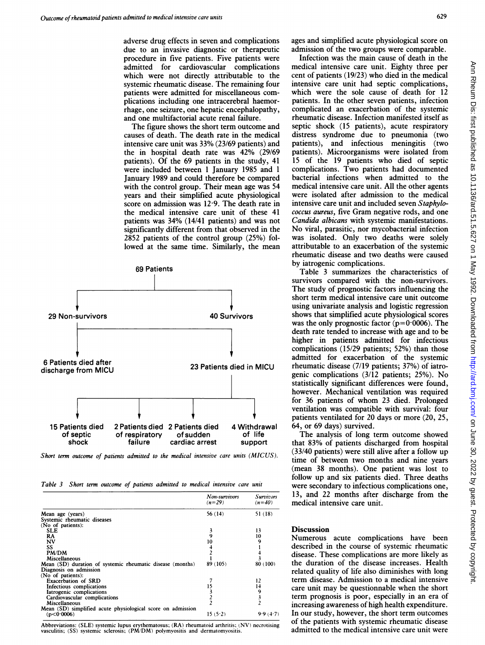adverse drug effects in seven and complications due to an invasive diagnostic or therapeutic procedure in five patients. Five patients were admitted for cardiovascular complications which were not directly attributable to the systemic rheumatic disease. The remaining four patients were admitted for miscellaneous complications including one intracerebral haemorrhage, one seizure, one hepatic encephalopathy, and one multifactorial acute renal failure.

The figure shows the short term outcome and causes of death. The death rate in the medical intensive care unit was 33% (23/69 patients) and the in hospital death rate was 42% (29/69) patients). Of the 69 patients in the study, 41 were included between 1 January 1985 and 1 January 1989 and could therefore be compared with the control group. Their mean age was 54 years and their simplified acute physiological score on admission was  $12.9$ . The death rate in the medical intensive care unit of these 41 patients was 34% (14/41 patients) and was not significantly different from that observed in the 2852 patients of the control group  $(25%)$  followed at the same time. Similarly, the mean



Short term outcome of patients admitted to the medical intensive care units (MICUS).

Table 3 Short term outcome of patients admitted to medical intensive care unit

|                                                             | Non-survivors<br>$(n=29)$ | Survivors<br>$(n=40)$ |
|-------------------------------------------------------------|---------------------------|-----------------------|
| Mean age (years)                                            | 56 (14)                   | 51(18)                |
| Systemic rheumatic diseases                                 |                           |                       |
| (No of patients):                                           |                           |                       |
| <b>SLE</b>                                                  | 3                         | 13                    |
| RA                                                          | 9                         | 10                    |
| NV                                                          | 10                        |                       |
| SS                                                          |                           |                       |
| PM/DM                                                       |                           |                       |
| Miscellaneous                                               |                           |                       |
| Mean (SD) duration of systemic rheumatic disease (months)   | 89 (105)                  | 80 (100)              |
| Diagnosis on admission                                      |                           |                       |
| (No of patients):                                           |                           |                       |
| <b>Exacerbation of SRD</b>                                  |                           | 12                    |
| Infectious complications                                    | 15                        | 14                    |
| Iatrogenic complications                                    |                           | 9                     |
| Cardiovascular complications                                |                           |                       |
| Miscellaneous                                               |                           |                       |
| Mean (SD) simplified acute physiological score on admission |                           |                       |
| (p < 0.0006)                                                | 15(5.2)                   | 9.9(1.7)              |

Abbreviations: (SLE) systemic lupus erythematosus; (RA) rheumatoid arthritis; (NV) necrotising vasculitis; (SS) systemic sclerosis; (PM/DM) polvmvositis and dermatomvositis.

ages and simplified acute physiological score on admission of the two groups were comparable.

Infection was the main cause of death in the medical intensive care unit. Eighty three per cent of patients  $(19/23)$  who died in the medical intensive care unit had septic complications, which were the sole cause of death for 12 patients. In the other seven patients, infection complicated an exacerbation of the systemic rheumatic disease. Infection manifested itself as septic shock (15 patients), acute respiratory distress syndrome due to pneumonia (two patients), and infectious meningitis (two patients). Microorganisms were isolated from 15 of the 19 patients who died of septic complications. Two patients had documented bacterial infections when admitted to the medical intensive care unit. All the other agents were isolated after admission to the medical intensive care unit and included seven Staphylococcus aureus, five Gram negative rods, and one Candida albicans with systemic manifestations. No viral, parasitic, nor mycobacterial infection was isolated. Only two deaths were solely attributable to an exacerbation of the systemic rheumatic disease and two deaths were caused by iatrogenic complications.

Table 3 summarizes the characteristics of survivors compared with the non-survivors. The study of prognostic factors influencing the short term medical intensive care unit outcome using univariate analysis and logistic regression 40 Survivors shows that simplified acute physiological scores was the only prognostic factor ( $p=0.0006$ ). The death rate tended to increase with age and to be higher in patients admitted for infectious complications (15/29 patients; 52%) than those admitted for exacerbation of the systemic rheumatic disease (7/19 patients; 37%) of iatrogenic complications (3/12 patients; 25%). No statistically significant differences were found, however. Mechanical ventilation was required for 36 patients of whom 23 died. Prolonged ventilation was compatible with survival: four patients ventilated for 20 days or more (20, 25,

> The analysis of long term outcome showed support that 83% of patients discharged from hospital (33/40 patients) were still alive after a follow up time of between two months and nine years (mean 38 months). One patient was lost to follow up and six patients died. Three deaths were secondary to infectious complications one, 13, and 22 months after discharge from the medical intensive care unit.

#### **Discussion**

Numerous acute complications have been described in the course of systemic rheumatic disease. These complications are more likely as the duration of the disease increases. Health related quality of life also diminishes with long term disease. Admission to a medical intensive care unit may be questionnable when the short term prognosis is poor, especially in an era of increasing awareness of high health expenditure. In our study, however, the short term outcomes of the patients with systemic rheumatic disease admitted to the medical intensive care unit were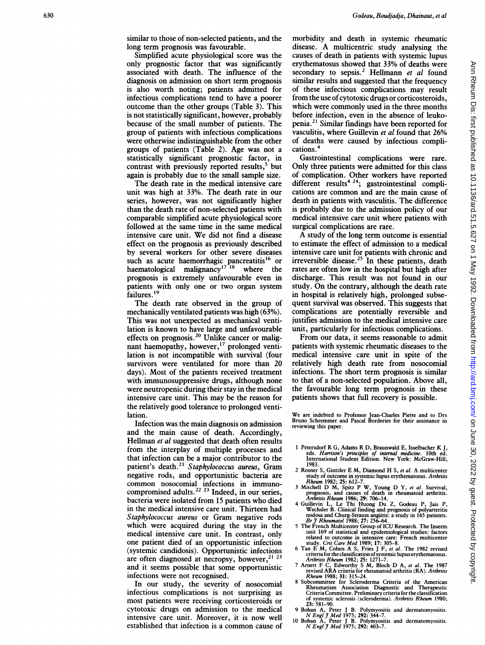similar to those of non-selected patients, and the long term prognosis was favourable.

Simplified acute physiological score was the only prognostic factor that was significantly associated with death. The influence of the diagnosis on admission on short term prognosis is also worth noting; patients admitted for infectious complications tend to have a poorer outcome than the other groups (Table 3). This is not statistically significant, however, probably because of the small number of patients. The group of patients with infectious complications were otherwise indistinguishable from the other groups of patients (Table 2). Age was not a statistically significant prognostic factor, in contrast with previously reported results,<sup>5</sup> but again is probably due to the small sample size.

The death rate in the medical intensive care unit was high at 33%. The death rate in our series, however, was not significantly higher than the death rate of non-selected patients with comparable simplified acute physiological score followed at the same time in the same medical intensive care unit. We did not find a disease effect on the prognosis as previously described by several workers for other severe diseases such as acute haemorrhagic pancreatitis<sup>16</sup> or haematological malignancy<sup>17</sup><sup>18</sup> where the prognosis is extremely unfavourable even in patients with only one or two organ system failures.<sup>19</sup>

The death rate observed in the group of mechanically ventilated patients was high (63%). This was not unexpected as mechanical ventilation is known to have large and unfavourable effects on prognosis.<sup>20</sup> Unlike cancer or malignant haemopathy, however,<sup>17</sup> prolonged ventilation is not incompatible with survival (four survivors were ventilated for more than 20 days). Most of the patients received treatment with immunosuppressive drugs, although none were neutropenic during their stay in the medical intensive care unit. This may be the reason for the relatively good tolerance to prolonged ventilation.

Infection was the main diagnosis on admission and the main cause of death. Accordingly, Hellman *et al* suggested that death often results from the interplay of multiple processes and that infection can be a major contributor to the patient's death.<sup>21</sup> Staphylococcus aureus, Gram negative rods, and opportunistic bacteria are common nosocomial infections in immunocompromised adults.<sup>22</sup> <sup>23</sup> Indeed, in our series, bacteria were isolated from 15 patients who died in the medical intensive care unit. Thirteen had Staphylococcus aureus or Gram negative rods which were acquired during the stay in the medical intensive care unit. In contrast, only one patient died of an opportunistic infection (systemic candidosis). Opportunistic infections are often diagnosed at necropsy, however,<sup>21</sup> <sup>23</sup> and it seems possible that some opportunistic infections were not recognised.

In our study, the severity of nosocomial infectious complications is not surprising as most patients were receiving corticosteroids or cytotoxic drugs on admission to the medical intensive care unit. Moreover, it is now well established that infection is <sup>a</sup> common cause of morbidity and death in systemic rheumatic disease. A multicentric study analysing the causes of death in patients with systemic lupus erythematosus showed that 33% of deaths were secondary to sepsis.<sup>2</sup> Hellmann et al found similar results and suggested that the frequency of these infectious complications may result from the use of cytotoxic drugs or corticosteroids, which were commonly used in the three months before infection, even in the absence of leukopenia.2' Similar findings have been reported for vasculitis, where Guillevin et al found that 26% of deaths were caused by infectious complications.4

Gastrointestinal complications were rare. Only three patients were admitted for this class of complication. Other workers have reported different results<sup>4 24</sup>; gastrointestinal complications are common and are the main cause of death in patients with vasculitis. The difference is probably due to the admission policy of our medical intensive care unit where patients with surgical complications are rare.

A study of the long term outcome is essential to estimate the effect of admission to a medical intensive care unit for patients with chronic and irreversible disease.<sup>25</sup> In these patients, death rates are often low in the hospital but high after discharge. This result was not found in our study. On the contrary, although the death rate in hospital is relatively high, prolonged subsequent survival was observed. This suggests that complications are potentially reversible and justifies admission to the medical intensive care unit, particularly for infectious complications.

From our data, it seems reasonable to admit patients with systemic rheumatic diseases to the medical intensive care unit in spite of the relatively high death rate from nosocomial infections. The short term prognosis is similar to that of a non-selected population. Above all, the favourable long term prognosis in these patients shows that full recovery is possible.

We are indebted to Professor Jean-Charles Piette and to Drs Bruno Schremmer and Pascal Borderies for their assistance in reviewing this paper.

- <sup>I</sup> Petersdorf R G, Adams R D, Braunwald E, Isselbacher K J. eds. Harrison's principles of internal medicine. 10th ed. International Student Edition. New York: McGraw-Hill,
- 1983. 2 Rosner S, Gintzler E M, Diamond H S, et al. A multicenter study of outcome in systemic lupus erythematosus. Arthritis Rheum 1982; 25: 612-7.
- Rheum 1982; 25: 612–7.<br>
3 Mitchell D M, Spitz P W, Young D Y, et al. Survival,<br>
prognosis, and causes of death in rheumatoid arthritis.<br>
Arthritis Rheum 1986; 29: 706–14.
- 4 Guillevin L, Le Thi Huong Du Z, Godeau P, Jais P, Wechsler B. Clinical finding and prognosis of polyarteritis
- nodosa and Churg-Strauss anguitis: a study in 165 patients.<br>Br J Rheumatol 1988; 27: 256–64.<br>The French Multicenter Group of ICU Research. The Inserm<br>unit 169 of statistical and epidemiological studies: factors related to outcome in intensive care: French multicenter<br>study. Crit Care Med 1989; 17: 305–8.<br>6 Tan E M, Cohen A S, Fries J F, et al. The 1982 revised
- criteria for the classification of systemic lupus erythematosus.
- Arthritis Rheum 1982; 25: 1271–7.<br>7 Arnett F G, Edworthy S M, Bloch D A, et al. The 1987<br>revised ARA criteria for rheumatoid arthritis (RA). Arthritis Rheum 1988; 31: 315-24.
- 8 Subcommittee for Scleroderma Criteria of the American Rheumatism Association Diagnostic and Therapeutic Criteria Committee. Preliminary criteria for the classification of systemic sclerosis (scleroderma). Arthritis Rheum 1980; 23: 581-90.
- 
- 9 Bohan A, Peter J B. Polymyositis and dermatomyositis.<br>
N Engl J Med 1975; 292: 344-7.<br>
10 Bohan A, Peter J B. Polymyositis and dermatomyositis.<br>
N Engl J Med 1975; 292: 403-7.